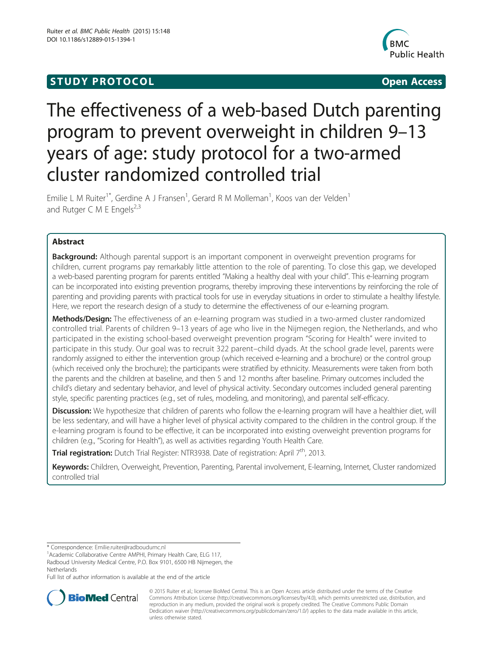# **STUDY PROTOCOL CONSUMING THE CONSUMING OPEN ACCESS**



# The effectiveness of a web-based Dutch parenting program to prevent overweight in children 9–13 years of age: study protocol for a two-armed cluster randomized controlled trial

Emilie L M Ruiter<sup>1\*</sup>, Gerdine A J Fransen<sup>1</sup>, Gerard R M Molleman<sup>1</sup>, Koos van der Velden<sup>1</sup> and Rutger C M E Engels<sup>2,3</sup>

# Abstract

Background: Although parental support is an important component in overweight prevention programs for children, current programs pay remarkably little attention to the role of parenting. To close this gap, we developed a web-based parenting program for parents entitled "Making a healthy deal with your child". This e-learning program can be incorporated into existing prevention programs, thereby improving these interventions by reinforcing the role of parenting and providing parents with practical tools for use in everyday situations in order to stimulate a healthy lifestyle. Here, we report the research design of a study to determine the effectiveness of our e-learning program.

**Methods/Design:** The effectiveness of an e-learning program was studied in a two-armed cluster randomized controlled trial. Parents of children 9–13 years of age who live in the Nijmegen region, the Netherlands, and who participated in the existing school-based overweight prevention program "Scoring for Health" were invited to participate in this study. Our goal was to recruit 322 parent–child dyads. At the school grade level, parents were randomly assigned to either the intervention group (which received e-learning and a brochure) or the control group (which received only the brochure); the participants were stratified by ethnicity. Measurements were taken from both the parents and the children at baseline, and then 5 and 12 months after baseline. Primary outcomes included the child's dietary and sedentary behavior, and level of physical activity. Secondary outcomes included general parenting style, specific parenting practices (e.g., set of rules, modeling, and monitoring), and parental self-efficacy.

Discussion: We hypothesize that children of parents who follow the e-learning program will have a healthier diet, will be less sedentary, and will have a higher level of physical activity compared to the children in the control group. If the e-learning program is found to be effective, it can be incorporated into existing overweight prevention programs for children (e.g., "Scoring for Health"), as well as activities regarding Youth Health Care.

**Trial registration:** Dutch Trial Register: [NTR3938](http://www.trialregister.nl/trialreg/admin/rctview.asp?TC=3938). Date of registration: April 7<sup>th</sup>, 2013.

Keywords: Children, Overweight, Prevention, Parenting, Parental involvement, E-learning, Internet, Cluster randomized controlled trial

Full list of author information is available at the end of the article



© 2015 Ruiter et al.; licensee BioMed Central. This is an Open Access article distributed under the terms of the Creative Commons Attribution License [\(http://creativecommons.org/licenses/by/4.0\)](http://creativecommons.org/licenses/by/4.0), which permits unrestricted use, distribution, and reproduction in any medium, provided the original work is properly credited. The Creative Commons Public Domain Dedication waiver [\(http://creativecommons.org/publicdomain/zero/1.0/](http://creativecommons.org/publicdomain/zero/1.0/)) applies to the data made available in this article, unless otherwise stated.

<sup>\*</sup> Correspondence: [Emilie.ruiter@radboudumc.nl](mailto:Emilie.ruiter@radboudumc.nl) <sup>1</sup>

<sup>&</sup>lt;sup>1</sup> Academic Collaborative Centre AMPHI, Primary Health Care, ELG 117,

Radboud University Medical Centre, P.O. Box 9101, 6500 HB Nijmegen, the Netherlands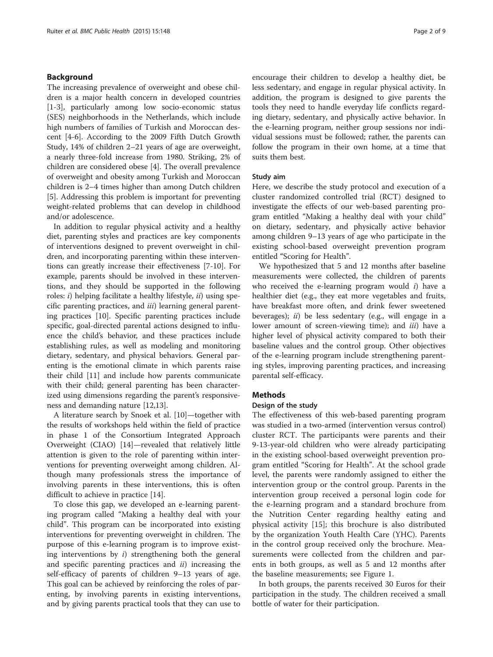### Background

The increasing prevalence of overweight and obese children is a major health concern in developed countries [[1-3](#page-7-0)], particularly among low socio-economic status (SES) neighborhoods in the Netherlands, which include high numbers of families of Turkish and Moroccan descent [[4-6](#page-7-0)]. According to the 2009 Fifth Dutch Growth Study, 14% of children 2–21 years of age are overweight, a nearly three-fold increase from 1980. Striking, 2% of children are considered obese [[4\]](#page-7-0). The overall prevalence of overweight and obesity among Turkish and Moroccan children is 2–4 times higher than among Dutch children [[5\]](#page-7-0). Addressing this problem is important for preventing weight-related problems that can develop in childhood and/or adolescence.

In addition to regular physical activity and a healthy diet, parenting styles and practices are key components of interventions designed to prevent overweight in children, and incorporating parenting within these interventions can greatly increase their effectiveness [[7-10](#page-7-0)]. For example, parents should be involved in these interventions, and they should be supported in the following roles: i) helping facilitate a healthy lifestyle, ii) using specific parenting practices, and *iii*) learning general parenting practices [[10\]](#page-7-0). Specific parenting practices include specific, goal-directed parental actions designed to influence the child's behavior, and these practices include establishing rules, as well as modeling and monitoring dietary, sedentary, and physical behaviors. General parenting is the emotional climate in which parents raise their child [[11\]](#page-7-0) and include how parents communicate with their child; general parenting has been characterized using dimensions regarding the parent's responsiveness and demanding nature [[12,13\]](#page-7-0).

A literature search by Snoek et al. [\[10](#page-7-0)]—together with the results of workshops held within the field of practice in phase 1 of the Consortium Integrated Approach Overweight (CIAO) [\[14](#page-7-0)]—revealed that relatively little attention is given to the role of parenting within interventions for preventing overweight among children. Although many professionals stress the importance of involving parents in these interventions, this is often difficult to achieve in practice [[14](#page-7-0)].

To close this gap, we developed an e-learning parenting program called "Making a healthy deal with your child". This program can be incorporated into existing interventions for preventing overweight in children. The purpose of this e-learning program is to improve existing interventions by  $i$ ) strengthening both the general and specific parenting practices and  $ii$ ) increasing the self-efficacy of parents of children 9–13 years of age. This goal can be achieved by reinforcing the roles of parenting, by involving parents in existing interventions, and by giving parents practical tools that they can use to

encourage their children to develop a healthy diet, be less sedentary, and engage in regular physical activity. In addition, the program is designed to give parents the tools they need to handle everyday life conflicts regarding dietary, sedentary, and physically active behavior. In the e-learning program, neither group sessions nor individual sessions must be followed; rather, the parents can follow the program in their own home, at a time that suits them best.

#### Study aim

Here, we describe the study protocol and execution of a cluster randomized controlled trial (RCT) designed to investigate the effects of our web-based parenting program entitled "Making a healthy deal with your child" on dietary, sedentary, and physically active behavior among children 9–13 years of age who participate in the existing school-based overweight prevention program entitled "Scoring for Health".

We hypothesized that 5 and 12 months after baseline measurements were collected, the children of parents who received the e-learning program would  $i$ ) have a healthier diet (e.g., they eat more vegetables and fruits, have breakfast more often, and drink fewer sweetened beverages); ii) be less sedentary (e.g., will engage in a lower amount of screen-viewing time); and *iii*) have a higher level of physical activity compared to both their baseline values and the control group. Other objectives of the e-learning program include strengthening parenting styles, improving parenting practices, and increasing parental self-efficacy.

# Methods

#### Design of the study

The effectiveness of this web-based parenting program was studied in a two-armed (intervention versus control) cluster RCT. The participants were parents and their 9-13-year-old children who were already participating in the existing school-based overweight prevention program entitled "Scoring for Health". At the school grade level, the parents were randomly assigned to either the intervention group or the control group. Parents in the intervention group received a personal login code for the e-learning program and a standard brochure from the Nutrition Center regarding healthy eating and physical activity [[15\]](#page-7-0); this brochure is also distributed by the organization Youth Health Care (YHC). Parents in the control group received only the brochure. Measurements were collected from the children and parents in both groups, as well as 5 and 12 months after the baseline measurements; see Figure [1.](#page-2-0)

In both groups, the parents received 30 Euros for their participation in the study. The children received a small bottle of water for their participation.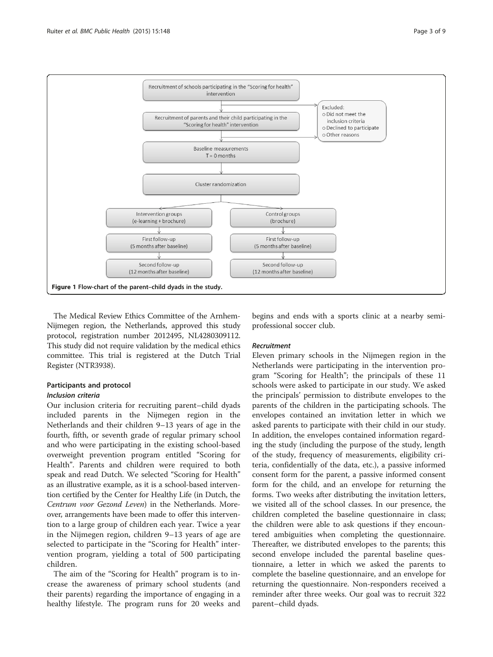<span id="page-2-0"></span>

The Medical Review Ethics Committee of the Arnhem-Nijmegen region, the Netherlands, approved this study protocol, registration number 2012495, NL4280309112. This study did not require validation by the medical ethics committee. This trial is registered at the Dutch Trial Register (NTR3938).

# Participants and protocol

# Inclusion criteria

Our inclusion criteria for recruiting parent–child dyads included parents in the Nijmegen region in the Netherlands and their children 9–13 years of age in the fourth, fifth, or seventh grade of regular primary school and who were participating in the existing school-based overweight prevention program entitled "Scoring for Health". Parents and children were required to both speak and read Dutch. We selected "Scoring for Health" as an illustrative example, as it is a school-based intervention certified by the Center for Healthy Life (in Dutch, the Centrum voor Gezond Leven) in the Netherlands. Moreover, arrangements have been made to offer this intervention to a large group of children each year. Twice a year in the Nijmegen region, children 9–13 years of age are selected to participate in the "Scoring for Health" intervention program, yielding a total of 500 participating children.

The aim of the "Scoring for Health" program is to increase the awareness of primary school students (and their parents) regarding the importance of engaging in a healthy lifestyle. The program runs for 20 weeks and begins and ends with a sports clinic at a nearby semiprofessional soccer club.

# Recruitment

Eleven primary schools in the Nijmegen region in the Netherlands were participating in the intervention program "Scoring for Health"; the principals of these 11 schools were asked to participate in our study. We asked the principals' permission to distribute envelopes to the parents of the children in the participating schools. The envelopes contained an invitation letter in which we asked parents to participate with their child in our study. In addition, the envelopes contained information regarding the study (including the purpose of the study, length of the study, frequency of measurements, eligibility criteria, confidentially of the data, etc.), a passive informed consent form for the parent, a passive informed consent form for the child, and an envelope for returning the forms. Two weeks after distributing the invitation letters, we visited all of the school classes. In our presence, the children completed the baseline questionnaire in class; the children were able to ask questions if they encountered ambiguities when completing the questionnaire. Thereafter, we distributed envelopes to the parents; this second envelope included the parental baseline questionnaire, a letter in which we asked the parents to complete the baseline questionnaire, and an envelope for returning the questionnaire. Non-responders received a reminder after three weeks. Our goal was to recruit 322 parent–child dyads.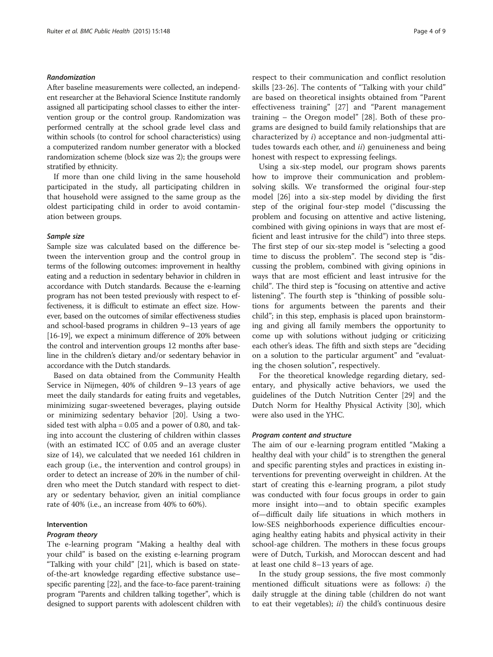#### Randomization

After baseline measurements were collected, an independent researcher at the Behavioral Science Institute randomly assigned all participating school classes to either the intervention group or the control group. Randomization was performed centrally at the school grade level class and within schools (to control for school characteristics) using a computerized random number generator with a blocked randomization scheme (block size was 2); the groups were stratified by ethnicity.

If more than one child living in the same household participated in the study, all participating children in that household were assigned to the same group as the oldest participating child in order to avoid contamination between groups.

## Sample size

Sample size was calculated based on the difference between the intervention group and the control group in terms of the following outcomes: improvement in healthy eating and a reduction in sedentary behavior in children in accordance with Dutch standards. Because the e-learning program has not been tested previously with respect to effectiveness, it is difficult to estimate an effect size. However, based on the outcomes of similar effectiveness studies and school-based programs in children 9–13 years of age [[16](#page-7-0)-[19](#page-7-0)], we expect a minimum difference of 20% between the control and intervention groups 12 months after baseline in the children's dietary and/or sedentary behavior in accordance with the Dutch standards.

Based on data obtained from the Community Health Service in Nijmegen, 40% of children 9–13 years of age meet the daily standards for eating fruits and vegetables, minimizing sugar-sweetened beverages, playing outside or minimizing sedentary behavior [[20](#page-7-0)]. Using a twosided test with alpha = 0.05 and a power of 0.80, and taking into account the clustering of children within classes (with an estimated ICC of 0.05 and an average cluster size of 14), we calculated that we needed 161 children in each group (i.e., the intervention and control groups) in order to detect an increase of 20% in the number of children who meet the Dutch standard with respect to dietary or sedentary behavior, given an initial compliance rate of 40% (i.e., an increase from 40% to 60%).

#### Intervention

#### Program theory

The e-learning program "Making a healthy deal with your child" is based on the existing e-learning program "Talking with your child" [\[21\]](#page-7-0), which is based on stateof-the-art knowledge regarding effective substance use– specific parenting [\[22\]](#page-7-0), and the face-to-face parent-training program "Parents and children talking together", which is designed to support parents with adolescent children with

respect to their communication and conflict resolution skills [[23-26](#page-7-0)]. The contents of "Talking with your child" are based on theoretical insights obtained from "Parent effectiveness training" [\[27](#page-7-0)] and "Parent management training – the Oregon model" [\[28](#page-7-0)]. Both of these programs are designed to build family relationships that are characterized by i) acceptance and non-judgmental attitudes towards each other, and *ii*) genuineness and being honest with respect to expressing feelings.

Using a six-step model, our program shows parents how to improve their communication and problemsolving skills. We transformed the original four-step model [\[26](#page-7-0)] into a six-step model by dividing the first step of the original four-step model ("discussing the problem and focusing on attentive and active listening, combined with giving opinions in ways that are most efficient and least intrusive for the child") into three steps. The first step of our six-step model is "selecting a good time to discuss the problem". The second step is "discussing the problem, combined with giving opinions in ways that are most efficient and least intrusive for the child". The third step is "focusing on attentive and active listening". The fourth step is "thinking of possible solutions for arguments between the parents and their child"; in this step, emphasis is placed upon brainstorming and giving all family members the opportunity to come up with solutions without judging or criticizing each other's ideas. The fifth and sixth steps are "deciding on a solution to the particular argument" and "evaluating the chosen solution", respectively.

For the theoretical knowledge regarding dietary, sedentary, and physically active behaviors, we used the guidelines of the Dutch Nutrition Center [[29](#page-7-0)] and the Dutch Norm for Healthy Physical Activity [\[30](#page-7-0)], which were also used in the YHC.

#### Program content and structure

The aim of our e-learning program entitled "Making a healthy deal with your child" is to strengthen the general and specific parenting styles and practices in existing interventions for preventing overweight in children. At the start of creating this e-learning program, a pilot study was conducted with four focus groups in order to gain more insight into—and to obtain specific examples of—difficult daily life situations in which mothers in low-SES neighborhoods experience difficulties encouraging healthy eating habits and physical activity in their school-age children. The mothers in these focus groups were of Dutch, Turkish, and Moroccan descent and had at least one child 8–13 years of age.

In the study group sessions, the five most commonly mentioned difficult situations were as follows:  $i$ ) the daily struggle at the dining table (children do not want to eat their vegetables);  $ii$ ) the child's continuous desire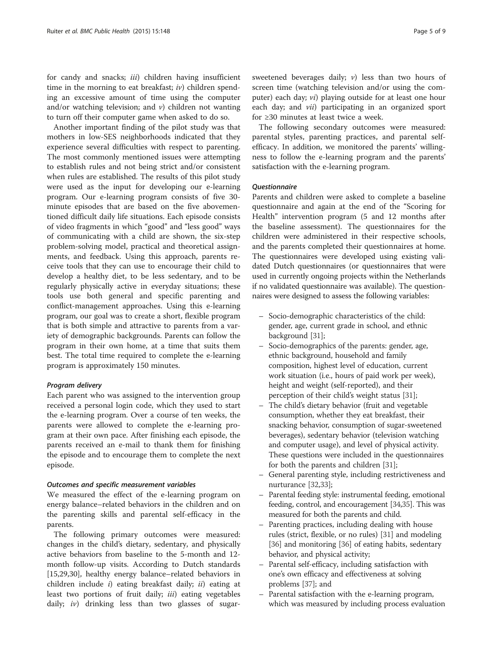for candy and snacks; *iii*) children having insufficient time in the morning to eat breakfast;  $iv$ ) children spending an excessive amount of time using the computer and/or watching television; and  $\nu$ ) children not wanting to turn off their computer game when asked to do so.

Another important finding of the pilot study was that mothers in low-SES neighborhoods indicated that they experience several difficulties with respect to parenting. The most commonly mentioned issues were attempting to establish rules and not being strict and/or consistent when rules are established. The results of this pilot study were used as the input for developing our e-learning program. Our e-learning program consists of five 30 minute episodes that are based on the five abovementioned difficult daily life situations. Each episode consists of video fragments in which "good" and "less good" ways of communicating with a child are shown, the six-step problem-solving model, practical and theoretical assignments, and feedback. Using this approach, parents receive tools that they can use to encourage their child to develop a healthy diet, to be less sedentary, and to be regularly physically active in everyday situations; these tools use both general and specific parenting and conflict-management approaches. Using this e-learning program, our goal was to create a short, flexible program that is both simple and attractive to parents from a variety of demographic backgrounds. Parents can follow the program in their own home, at a time that suits them best. The total time required to complete the e-learning program is approximately 150 minutes.

### Program delivery

Each parent who was assigned to the intervention group received a personal login code, which they used to start the e-learning program. Over a course of ten weeks, the parents were allowed to complete the e-learning program at their own pace. After finishing each episode, the parents received an e-mail to thank them for finishing the episode and to encourage them to complete the next episode.

#### Outcomes and specific measurement variables

We measured the effect of the e-learning program on energy balance–related behaviors in the children and on the parenting skills and parental self-efficacy in the parents.

The following primary outcomes were measured: changes in the child's dietary, sedentary, and physically active behaviors from baseline to the 5-month and 12 month follow-up visits. According to Dutch standards [[15,29,30\]](#page-7-0), healthy energy balance–related behaviors in children include i) eating breakfast daily; ii) eating at least two portions of fruit daily; *iii*) eating vegetables daily;  $iv$ ) drinking less than two glasses of sugarsweetened beverages daily;  $v$ ) less than two hours of screen time (watching television and/or using the computer) each day; vi) playing outside for at least one hour each day; and *vii*) participating in an organized sport for ≥30 minutes at least twice a week.

The following secondary outcomes were measured: parental styles, parenting practices, and parental selfefficacy. In addition, we monitored the parents' willingness to follow the e-learning program and the parents' satisfaction with the e-learning program.

#### **Ouestionnaire**

Parents and children were asked to complete a baseline questionnaire and again at the end of the "Scoring for Health" intervention program (5 and 12 months after the baseline assessment). The questionnaires for the children were administered in their respective schools, and the parents completed their questionnaires at home. The questionnaires were developed using existing validated Dutch questionnaires (or questionnaires that were used in currently ongoing projects within the Netherlands if no validated questionnaire was available). The questionnaires were designed to assess the following variables:

- Socio-demographic characteristics of the child: gender, age, current grade in school, and ethnic background [\[31\]](#page-7-0);
- Socio-demographics of the parents: gender, age, ethnic background, household and family composition, highest level of education, current work situation (i.e., hours of paid work per week), height and weight (self-reported), and their perception of their child's weight status [[31](#page-7-0)];
- The child's dietary behavior (fruit and vegetable consumption, whether they eat breakfast, their snacking behavior, consumption of sugar-sweetened beverages), sedentary behavior (television watching and computer usage), and level of physical activity. These questions were included in the questionnaires for both the parents and children [[31](#page-7-0)];
- General parenting style, including restrictiveness and nurturance [\[32,33\]](#page-7-0);
- Parental feeding style: instrumental feeding, emotional feeding, control, and encouragement [[34,35](#page-7-0)]. This was measured for both the parents and child.
- Parenting practices, including dealing with house rules (strict, flexible, or no rules) [[31](#page-7-0)] and modeling [[36](#page-7-0)] and monitoring [\[36](#page-7-0)] of eating habits, sedentary behavior, and physical activity;
- Parental self-efficacy, including satisfaction with one's own efficacy and effectiveness at solving problems [\[37\]](#page-8-0); and
- Parental satisfaction with the e-learning program, which was measured by including process evaluation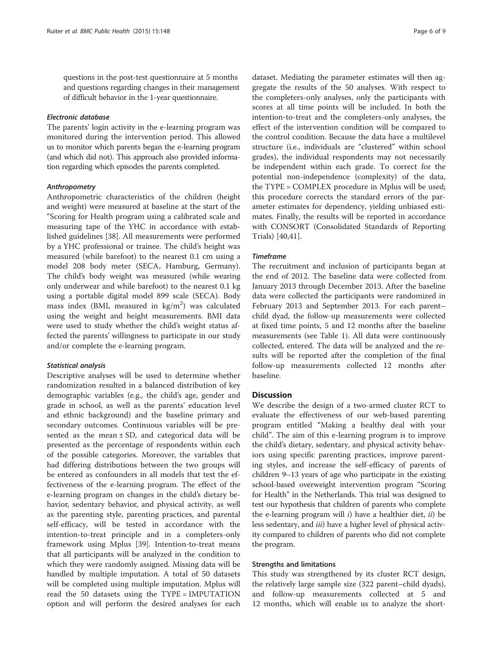questions in the post-test questionnaire at 5 months and questions regarding changes in their management of difficult behavior in the 1-year questionnaire.

#### Electronic database

The parents' login activity in the e-learning program was monitored during the intervention period. This allowed us to monitor which parents began the e-learning program (and which did not). This approach also provided information regarding which episodes the parents completed.

#### Anthropometry

Anthropometric characteristics of the children (height and weight) were measured at baseline at the start of the "Scoring for Health program using a calibrated scale and measuring tape of the YHC in accordance with established guidelines [\[38](#page-8-0)]. All measurements were performed by a YHC professional or trainee. The child's height was measured (while barefoot) to the nearest 0.1 cm using a model 208 body meter (SECA, Hamburg, Germany). The child's body weight was measured (while wearing only underwear and while barefoot) to the nearest 0.1 kg using a portable digital model 899 scale (SECA). Body mass index (BMI, measured in  $\text{kg/m}^2$ ) was calculated using the weight and height measurements. BMI data were used to study whether the child's weight status affected the parents' willingness to participate in our study and/or complete the e-learning program.

#### Statistical analysis

Descriptive analyses will be used to determine whether randomization resulted in a balanced distribution of key demographic variables (e.g., the child's age, gender and grade in school, as well as the parents' education level and ethnic background) and the baseline primary and secondary outcomes. Continuous variables will be presented as the mean  $\pm$  SD, and categorical data will be presented as the percentage of respondents within each of the possible categories. Moreover, the variables that had differing distributions between the two groups will be entered as confounders in all models that test the effectiveness of the e-learning program. The effect of the e-learning program on changes in the child's dietary behavior, sedentary behavior, and physical activity, as well as the parenting style, parenting practices, and parental self-efficacy, will be tested in accordance with the intention-to-treat principle and in a completers-only framework using Mplus [[39\]](#page-8-0). Intention-to-treat means that all participants will be analyzed in the condition to which they were randomly assigned. Missing data will be handled by multiple imputation. A total of 50 datasets will be completed using multiple imputation. Mplus will read the 50 datasets using the TYPE = IMPUTATION option and will perform the desired analyses for each dataset. Mediating the parameter estimates will then aggregate the results of the 50 analyses. With respect to the completers-only analyses, only the participants with scores at all time points will be included. In both the intention-to-treat and the completers-only analyses, the effect of the intervention condition will be compared to the control condition. Because the data have a multilevel structure (i.e., individuals are "clustered" within school grades), the individual respondents may not necessarily be independent within each grade. To correct for the potential non-independence (complexity) of the data, the TYPE = COMPLEX procedure in Mplus will be used; this procedure corrects the standard errors of the parameter estimates for dependency, yielding unbiased estimates. Finally, the results will be reported in accordance with CONSORT (Consolidated Standards of Reporting Trials) [[40](#page-8-0),[41](#page-8-0)].

# Timeframe

The recruitment and inclusion of participants began at the end of 2012. The baseline data were collected from January 2013 through December 2013. After the baseline data were collected the participants were randomized in February 2013 and September 2013. For each parent– child dyad, the follow-up measurements were collected at fixed time points, 5 and 12 months after the baseline measurements (see Table [1](#page-6-0)). All data were continuously collected, entered. The data will be analyzed and the results will be reported after the completion of the final follow-up measurements collected 12 months after baseline.

# **Discussion**

We describe the design of a two-armed cluster RCT to evaluate the effectiveness of our web-based parenting program entitled "Making a healthy deal with your child". The aim of this e-learning program is to improve the child's dietary, sedentary, and physical activity behaviors using specific parenting practices, improve parenting styles, and increase the self-efficacy of parents of children 9–13 years of age who participate in the existing school-based overweight intervention program "Scoring for Health" in the Netherlands. This trial was designed to test our hypothesis that children of parents who complete the e-learning program will  $i$ ) have a healthier diet,  $ii$ ) be less sedentary, and *iii*) have a higher level of physical activity compared to children of parents who did not complete the program.

#### Strengths and limitations

This study was strengthened by its cluster RCT design, the relatively large sample size (322 parent–child dyads), and follow-up measurements collected at 5 and 12 months, which will enable us to analyze the short-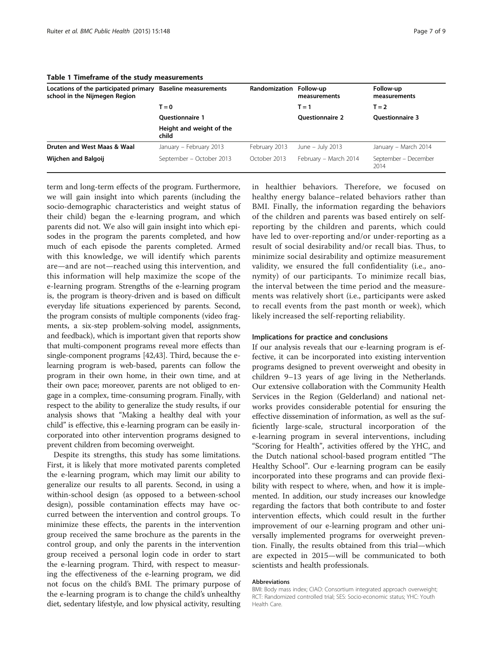| Locations of the participated primary<br>school in the Nijmegen Region | <b>Baseline measurements</b>      | <b>Randomization Follow-up</b> | measurements           | Follow-up<br>measurements    |
|------------------------------------------------------------------------|-----------------------------------|--------------------------------|------------------------|------------------------------|
|                                                                        | $T = 0$                           |                                | $T = 1$                | $T = 2$                      |
|                                                                        | <b>Ouestionnaire 1</b>            |                                | <b>Ouestionnaire 2</b> | <b>Ouestionnaire 3</b>       |
|                                                                        | Height and weight of the<br>child |                                |                        |                              |
| Druten and West Maas & Waal                                            | January - February 2013           | February 2013                  | June - July 2013       | January - March 2014         |
| Wijchen and Balgoij                                                    | September – October 2013          | October 2013                   | February - March 2014  | September – December<br>2014 |

#### <span id="page-6-0"></span>Table 1 Timeframe of the study measurements

term and long-term effects of the program. Furthermore, we will gain insight into which parents (including the socio-demographic characteristics and weight status of their child) began the e-learning program, and which parents did not. We also will gain insight into which episodes in the program the parents completed, and how much of each episode the parents completed. Armed with this knowledge, we will identify which parents are—and are not—reached using this intervention, and this information will help maximize the scope of the e-learning program. Strengths of the e-learning program is, the program is theory-driven and is based on difficult everyday life situations experienced by parents. Second, the program consists of multiple components (video fragments, a six-step problem-solving model, assignments, and feedback), which is important given that reports show that multi-component programs reveal more effects than single-component programs [[42,43](#page-8-0)]. Third, because the elearning program is web-based, parents can follow the program in their own home, in their own time, and at their own pace; moreover, parents are not obliged to engage in a complex, time-consuming program. Finally, with respect to the ability to generalize the study results, if our analysis shows that "Making a healthy deal with your child" is effective, this e-learning program can be easily incorporated into other intervention programs designed to prevent children from becoming overweight.

Despite its strengths, this study has some limitations. First, it is likely that more motivated parents completed the e-learning program, which may limit our ability to generalize our results to all parents. Second, in using a within-school design (as opposed to a between-school design), possible contamination effects may have occurred between the intervention and control groups. To minimize these effects, the parents in the intervention group received the same brochure as the parents in the control group, and only the parents in the intervention group received a personal login code in order to start the e-learning program. Third, with respect to measuring the effectiveness of the e-learning program, we did not focus on the child's BMI. The primary purpose of the e-learning program is to change the child's unhealthy diet, sedentary lifestyle, and low physical activity, resulting in healthier behaviors. Therefore, we focused on healthy energy balance–related behaviors rather than BMI. Finally, the information regarding the behaviors of the children and parents was based entirely on selfreporting by the children and parents, which could have led to over-reporting and/or under-reporting as a result of social desirability and/or recall bias. Thus, to minimize social desirability and optimize measurement validity, we ensured the full confidentiality (i.e., anonymity) of our participants. To minimize recall bias, the interval between the time period and the measurements was relatively short (i.e., participants were asked to recall events from the past month or week), which likely increased the self-reporting reliability.

#### Implications for practice and conclusions

If our analysis reveals that our e-learning program is effective, it can be incorporated into existing intervention programs designed to prevent overweight and obesity in children 9–13 years of age living in the Netherlands. Our extensive collaboration with the Community Health Services in the Region (Gelderland) and national networks provides considerable potential for ensuring the effective dissemination of information, as well as the sufficiently large-scale, structural incorporation of the e-learning program in several interventions, including "Scoring for Health", activities offered by the YHC, and the Dutch national school-based program entitled "The Healthy School". Our e-learning program can be easily incorporated into these programs and can provide flexibility with respect to where, when, and how it is implemented. In addition, our study increases our knowledge regarding the factors that both contribute to and foster intervention effects, which could result in the further improvement of our e-learning program and other universally implemented programs for overweight prevention. Finally, the results obtained from this trial—which are expected in 2015—will be communicated to both scientists and health professionals.

#### Abbreviations

BMI: Body mass index; CIAO: Consortium integrated approach overweight; RCT: Randomized controlled trial; SES: Socio-economic status; YHC: Youth Health Care.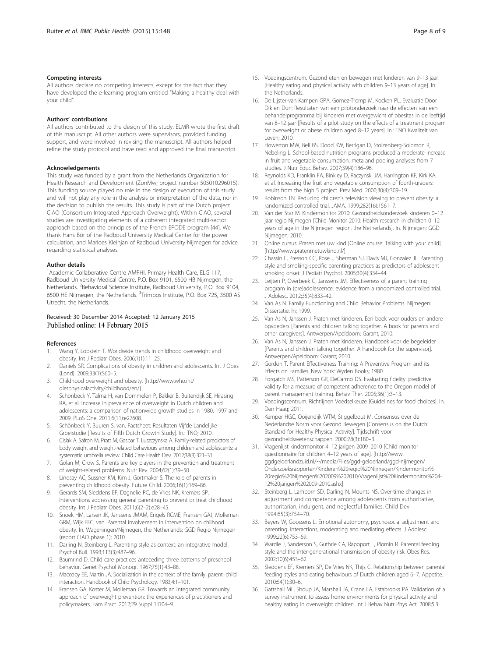#### <span id="page-7-0"></span>Competing interests

All authors declare no competing interests, except for the fact that they have developed the e-learning program entitled "Making a healthy deal with your child".

#### Authors' contributions

All authors contributed to the design of this study. ELMR wrote the first draft of this manuscript. All other authors were supervisors, provided funding support, and were involved in revising the manuscript. All authors helped refine the study protocol and have read and approved the final manuscript.

#### Acknowledgements

This study was funded by a grant from the Netherlands Organization for Health Research and Development (ZonMw; project number 505010296015). This funding source played no role in the design of execution of this study and will not play any role in the analysis or interpretation of the data, nor in the decision to publish the results. This study is part of the Dutch project CIAO (Consortium Integrated Approach Overweight). Within CIAO, several studies are investigating elements of a coherent integrated multi-sector approach based on the principles of the French EPODE program [\[44\]](#page-8-0). We thank Hans Bör of the Radboud University Medical Center for the power calculation, and Marloes Kleinjan of Radboud University Nijmegen for advice regarding statistical analyses.

#### Author details

<sup>1</sup> Academic Collaborative Centre AMPHI, Primary Health Care, ELG 117, Radboud University Medical Centre, P.O. Box 9101, 6500 HB Nijmegen, the Netherlands. <sup>2</sup> Behavioral Science Institute, Radboud University, P.O. Box 9104, 6500 HE Nijmegen, the Netherlands. <sup>3</sup>Trimbos Institute, P.O. Box 725, 3500 AS Utrecht, the Netherlands.

#### Received: 30 December 2014 Accepted: 12 January 2015 Published online: 14 February 2015

#### References

- 1. Wang Y, Lobstein T. Worldwide trends in childhood overweight and obesity. Int J Pediatr Obes. 2006;1(1):11–25.
- 2. Daniels SR. Complications of obesity in children and adolescents. Int J Obes (Lond). 2009;33(1):S60–5.
- 3. Childhood overweight and obesity. [[http://www.who.int/](http://www.who.int/dietphysicalactivity/childhood/en/) [dietphysicalactivity/childhood/en/\]](http://www.who.int/dietphysicalactivity/childhood/en/)
- 4. Schonbeck Y, Talma H, van Dommelen P, Bakker B, Buitendijk SE, Hirasing RA, et al. Increase in prevalence of overweight in Dutch children and adolescents: a comparison of nationwide growth studies in 1980, 1997 and 2009. PLoS One. 2011;6(11):e27608.
- 5. Schönbeck Y, Buuren S, van. Factsheet: Resultaten Vijfde Landelijke Groeistudie [Results of Fifth Dutch Growth Study]. In.: TNO; 2010.
- 6. Cislak A, Safron M, Pratt M, Gaspar T, Luszczynska A. Family-related predictors of body weight and weight-related behaviours among children and adolescents: a systematic umbrella review. Child Care Health Dev. 2012;38(3):321–31.
- 7. Golan M, Crow S. Parents are key players in the prevention and treatment of weight-related problems. Nutr Rev. 2004;62(1):39–50.
- 8. Lindsay AC, Sussner KM, Kim J, Gortmaker S. The role of parents in preventing childhood obesity. Future Child. 2006;16(1):169–86.
- Gerards SM, Sleddens EF, Dagnelie PC, de Vries NK, Kremers SP. Interventions addressing general parenting to prevent or treat childhood obesity. Int J Pediatr Obes. 2011;6(2–2):e28–45.
- 10. Snoek HM, Larsen JK, Janssens JMAM, Engels RCME, Fransen GAJ, Molleman GRM, Wijk EEC, van. Parental involvement in intervention on chilhood obesity. In. Wageningen/Nijmegen, the Netherlands: GGD Regio Nijmegen (report CIAO phase 1); 2010.
- 11. Darling N, Steinberg L. Parenting style as context: an integrative model. Psychol Bull. 1993;113(3):487–96.
- 12. Baumrind D. Child care practices anteceding three patterns of preschool behavior. Genet Psychol Monogr. 1967;75(1):43–88.
- 13. Maccoby EE, Martin JA. Socialization in the context of the family: parent–child interaction. Handbook of Child Psychology. 1983;4:1–101.
- 14. Fransen GA, Koster M, Molleman GR. Towards an integrated community approach of overweight prevention: the experiences of practitioners and policymakers. Fam Pract. 2012;29 Suppl 1:i104–9.
- 15. Voedingscentrum. Gezond eten en bewegen met kinderen van 9–13 jaar [Healthy eating and physical activity with children 9–13 years of age]. In. the Netherlands.
- 16. De Lijster-van Kampen GPA, Gomez-Tromp M, Kocken PL. Evaluatie Door Dik en Dun: Resultaten van een pilotonderzoek naar de effecten van een behandelprogramma bij kinderen met overgewicht of obesitas in de leeftijd van 8–12 jaar [Results of a pilot study on the effects of a treatment program for overweight or obese children aged 8–12 years]. In.: TNO Kwaliteit van Leven; 2010.
- 17. Howerton MW, Bell BS, Dodd KW, Berrigan D, Stolzenberg-Solomon R, Nebeling L. School-based nutrition programs produced a moderate increase in fruit and vegetable consumption: meta and pooling analyses from 7 studies. J Nutr Educ Behav. 2007;39(4):186–96.
- 18. Reynolds KD, Franklin FA, Binkley D, Raczynski JM, Harrington KF, Kirk KA, et al. Increasing the fruit and vegetable consumption of fourth-graders: results from the high 5 project. Prev Med. 2000;30(4):309–19.
- 19. Robinson TN. Reducing children's television viewing to prevent obesity: a randomized controlled trial. JAMA. 1999;282(16):1561–7.
- 20. Van der Star M. Kindermonitor 2010: Gezondheidsonderzoek kinderen 0–12 jaar regio Nijmegen [Child Monitor 2010: Health research in children 0–12 years of age in the Nijmegen region, the Netherlands]. In. Nijmegen: GGD Nijmegen; 2010.
- 21. Online cursus: Praten met uw kind [Online course: Talking with your child] [[http://www.pratenmetuwkind.nl/\]](http://www.pratenmetuwkind.nl/)
- 22. Chassin L, Presson CC, Rose J, Sherman SJ, Davis MJ, Gonzalez JL. Parenting style and smoking-specific parenting practices as predictors of adolescent smoking onset. J Pediatr Psychol. 2005;30(4):334–44.
- 23. Leijten P, Overbeek G, Janssens JM. Effectiveness of a parent training program in (pre)adolescence: evidence from a randomized controlled trial. J Adolesc. 2012;35(4):833–42.
- 24. Van As N. Family Functioning and Child Behavior Problems. Nijmegen: Dissertatie. In; 1999.
- 25. Van As N, Janssen J. Praten met kinderen. Een boek voor ouders en andere opvoeders [Parents and children talking together. A book for parents and other caregivers]. Antwerpen/Apeldoorn: Garant; 2010.
- 26. Van As N, Janssen J. Praten met kinderen. Handboek voor de begeleider [Parents and children talking together. A handbook for the supervisor]. Antwerpen/Apeldoorn: Garant; 2010.
- 27. Gordon T. Parent Effectiveness Training: A Preventive Program and its Effects on Families. New York: Wyden Books; 1980.
- 28. Forgatch MS, Patterson GR, DeGarmo DS. Evaluating fidelity: predictive validity for a measure of competent adherence to the Oregon model of parent management training. Behav Ther. 2005;36(1):3–13.
- 29. Voedingscentrum. Richtlijnen Voedselkeuze [Guidelines for food choices]. In. Den Haag; 2011.
- 30. Kemper HGC, Ooijendijk WTM, Stiggelbout M. Consensus over de Nederlandse Norm voor Gezond Bewegen [Consensus on the Dutch Standard for Healthy Physical Activity]. Tijdschrift voor gezondheidswetenschappen. 2000;78(3):180–3.
- 31. Vragenlijst kindermonitor 4–12 jarigen 2009–2010 [Child monitor questionnaire for children 4–12 years of age]. [\[http://www.](http://www.ggdgelderlandzuid.nl/~/media/Files/ggd-gelderland/ggd-nijmegen/Onderzoeksrapporten/Kinderen%20regio%20Nijmegen/Kindermonitor%20regio%20Nijmegen%202009%202010/Vragenlijst%20Kindermonitor%204-12%20jarigen%202009-2010.ashx) [ggdgelderlandzuid.nl/~/media/Files/ggd-gelderland/ggd-nijmegen/](http://www.ggdgelderlandzuid.nl/~/media/Files/ggd-gelderland/ggd-nijmegen/Onderzoeksrapporten/Kinderen%20regio%20Nijmegen/Kindermonitor%20regio%20Nijmegen%202009%202010/Vragenlijst%20Kindermonitor%204-12%20jarigen%202009-2010.ashx) [Onderzoeksrapporten/Kinderen%20regio%20Nijmegen/Kindermonitor%](http://www.ggdgelderlandzuid.nl/~/media/Files/ggd-gelderland/ggd-nijmegen/Onderzoeksrapporten/Kinderen%20regio%20Nijmegen/Kindermonitor%20regio%20Nijmegen%202009%202010/Vragenlijst%20Kindermonitor%204-12%20jarigen%202009-2010.ashx) [20regio%20Nijmegen%202009%202010/Vragenlijst%20Kindermonitor%204-](http://www.ggdgelderlandzuid.nl/~/media/Files/ggd-gelderland/ggd-nijmegen/Onderzoeksrapporten/Kinderen%20regio%20Nijmegen/Kindermonitor%20regio%20Nijmegen%202009%202010/Vragenlijst%20Kindermonitor%204-12%20jarigen%202009-2010.ashx) [12%20jarigen%202009-2010.ashx](http://www.ggdgelderlandzuid.nl/~/media/Files/ggd-gelderland/ggd-nijmegen/Onderzoeksrapporten/Kinderen%20regio%20Nijmegen/Kindermonitor%20regio%20Nijmegen%202009%202010/Vragenlijst%20Kindermonitor%204-12%20jarigen%202009-2010.ashx)]
- 32. Steinberg L, Lamborn SD, Darling N, Mounts NS. Over-time changes in adjustment and competence among adolescents from authoritative, authoritarian, indulgent, and neglectful families. Child Dev. 1994;65(3):754–70.
- 33. Beyers W, Goossens L. Emotional autonomy, psychosocial adjustment and parenting: Interactions, moderating and mediating effects. J Adolesc. 1999;22(6):753–69.
- 34. Wardle J, Sanderson S, Guthrie CA, Rapoport L, Plomin R. Parental feeding style and the inter-generational transmission of obesity risk. Obes Res. 2002;10(6):453–62.
- 35. Sleddens EF, Kremers SP, De Vries NK, Thijs C. Relationship between parental feeding styles and eating behaviours of Dutch children aged 6–7. Appetite. 2010;54(1):30–6.
- 36. Gattshall ML, Shoup JA, Marshall JA, Crane LA, Estabrooks PA. Validation of a survey instrument to assess home environments for physical activity and healthy eating in overweight children. Int J Behav Nutr Phys Act. 2008;5:3.